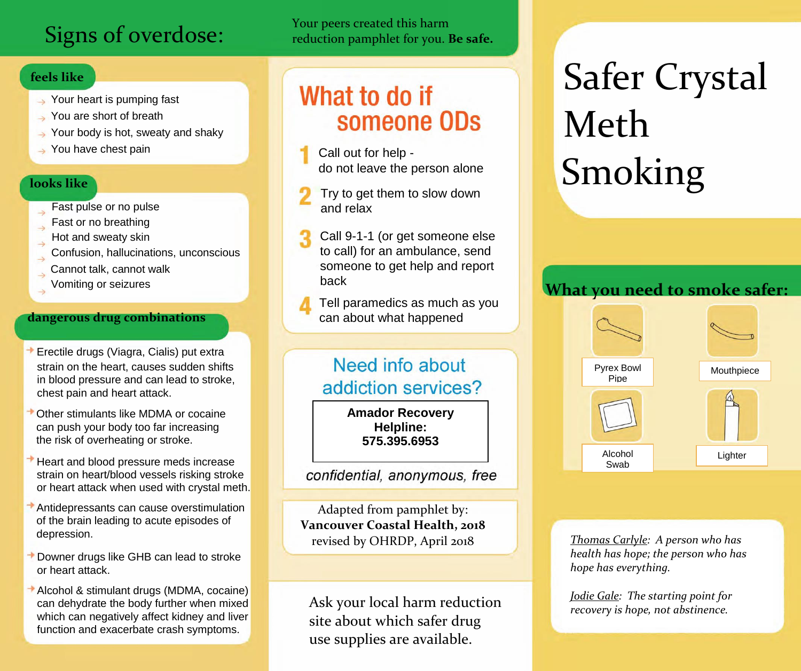## Signs of overdose:

## **feels like**

- Your heart is pumping fast
- You are short of breath
- $\rightarrow$  Your body is hot, sweaty and shaky
- $\rightarrow$  You have chest pain

## **looks like**

- Fast pulse or no pulse
- Fast or no breathing
- Hot and sweaty skin
- Confusion, hallucinations, unconscious
- Cannot talk, cannot walk
- Vomiting or seizures

## **dangerous drug combinations**

- Erectile drugs (Viagra, Cialis) put extra strain on the heart, causes sudden shifts in blood pressure and can lead to stroke, chest pain and heart attack.
- Other stimulants like MDMA or cocaine can push your body too far increasing the risk of overheating or stroke.
- Heart and blood pressure meds increase strain on heart/blood vessels risking stroke or heart attack when used with crystal meth.
- Antidepressants can cause overstimulation of the brain leading to acute episodes of depression.
- Downer drugs like GHB can lead to stroke or heart attack.
- Alcohol & stimulant drugs (MDMA, cocaine) can dehydrate the body further when mixed which can negatively affect kidney and liver function and exacerbate crash symptoms.

Your peers created this harm reduction pamphlet for you. **Be safe.**

# What to do if someone ODs

- Call out for help do not leave the person alone
- Try to get them to slow down and relax
- Call 9-1-1 (or get someone else to call) for an ambulance, send someone to get help and report back

Tell paramedics as much as you can about what happened

## Need info about addiction services?

1-866-531-2600 **Amador Recovery Helpline: 575.395.6953**

## confidential, anonymous, free

Adapted from pamphlet by: **Vancouver Coastal Health, 2018**  revised by OHRDP, April 2018

Ask your local harm reduction site about which safer drug use supplies are available.

# Safer Crystal Meth Smoking

## **What you need to smoke safer:**



*Thomas Carlyle: A person who has health has hope; the person who has hope has everything.*

*Jodie Gale: The starting point for recovery is hope, not abstinence.*